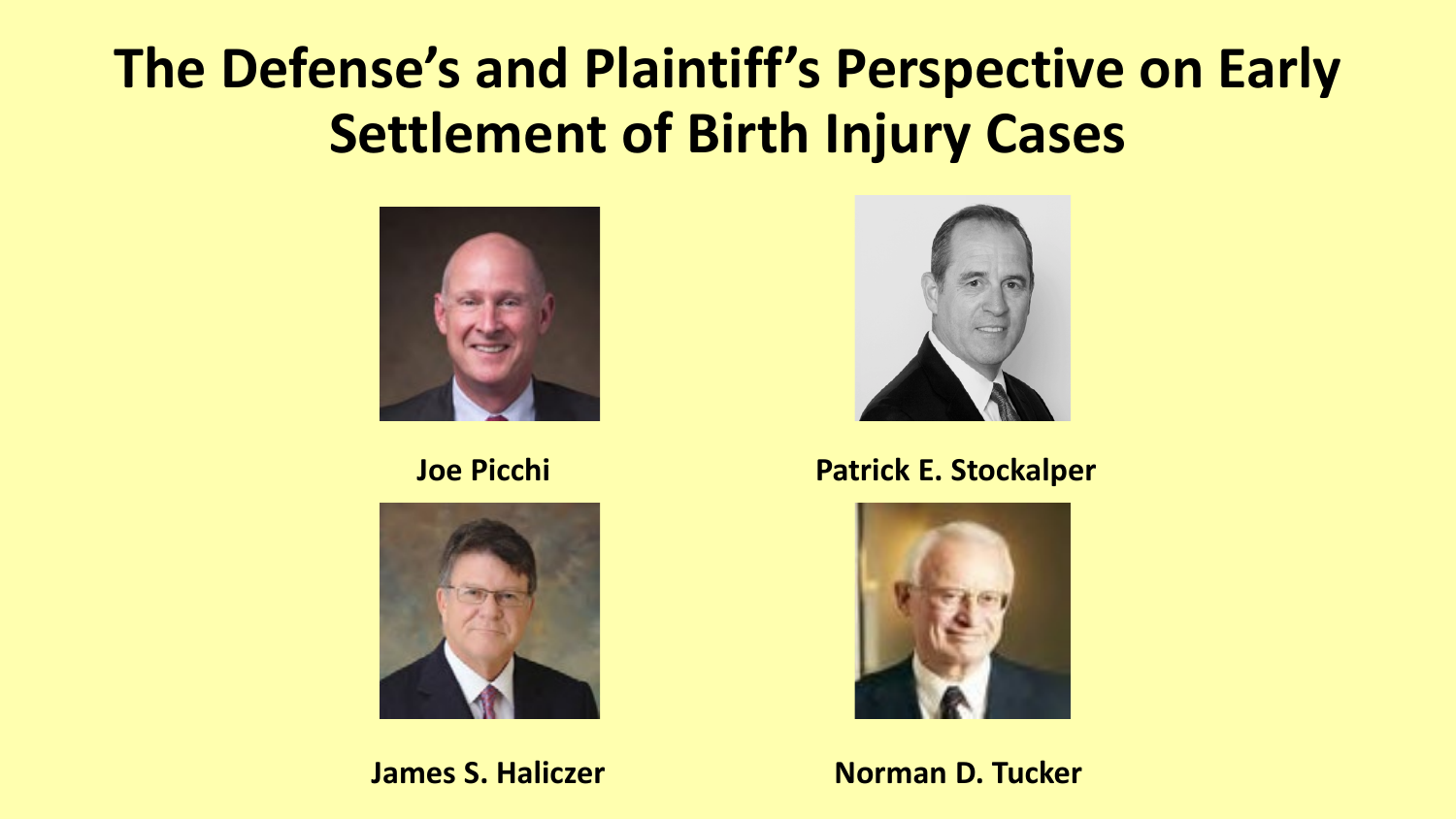## **The Defense's and Plaintiff's Perspective on Early Settlement of Birth Injury Cases**







#### **Joe Picchi Natural Patrick E. Stockalper**



**James S. Haliczer Norman D. Tucker**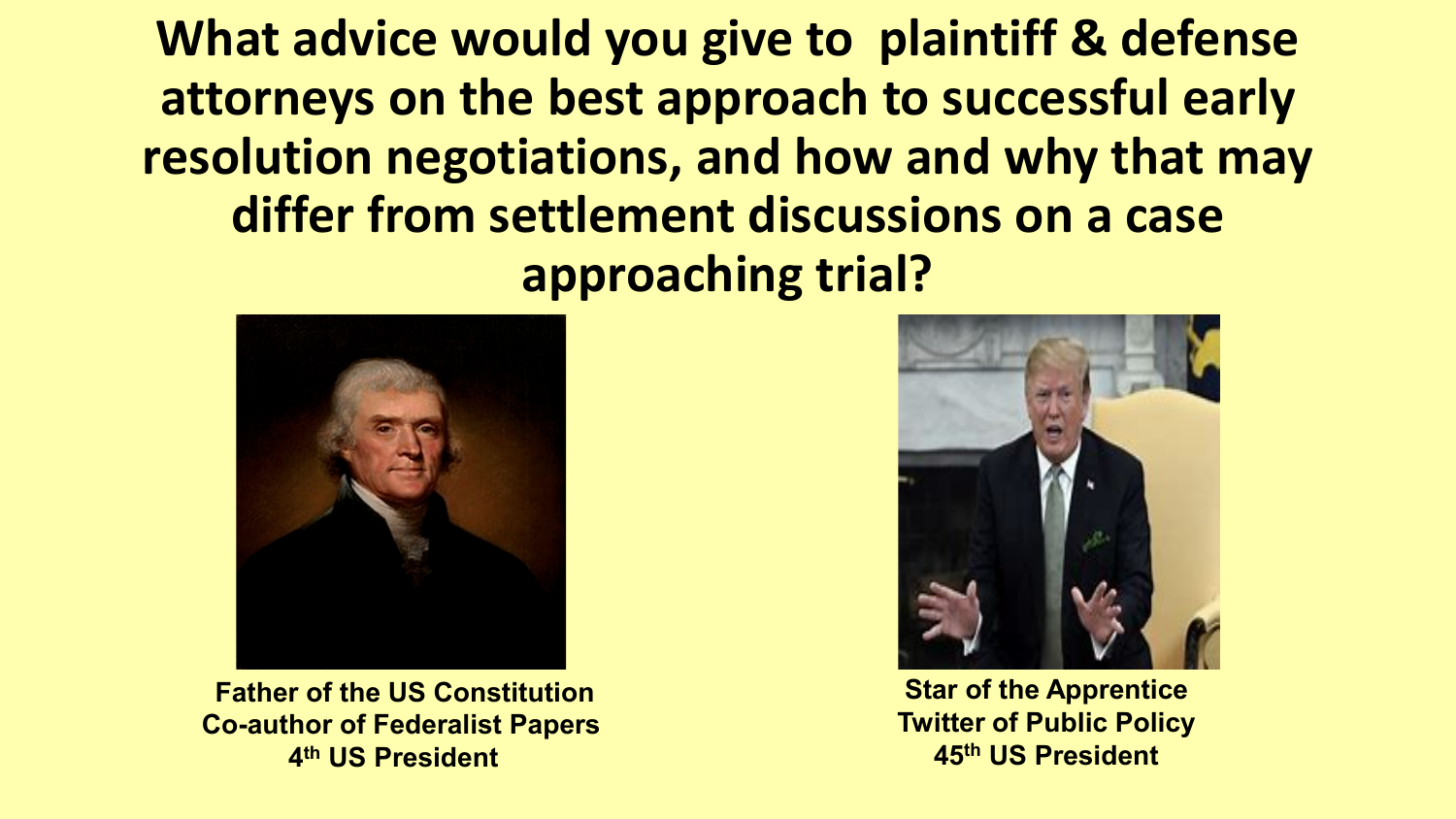**What advice would you give to plaintiff & defense attorneys on the best approach to successful early resolution negotiations, and how and why that may differ from settlement discussions on a case approaching trial?**



**Father of the US Constitution Co-author of Federalist Papers 4th US President**



**Star of the Apprentice Twitter of Public Policy 45th US President**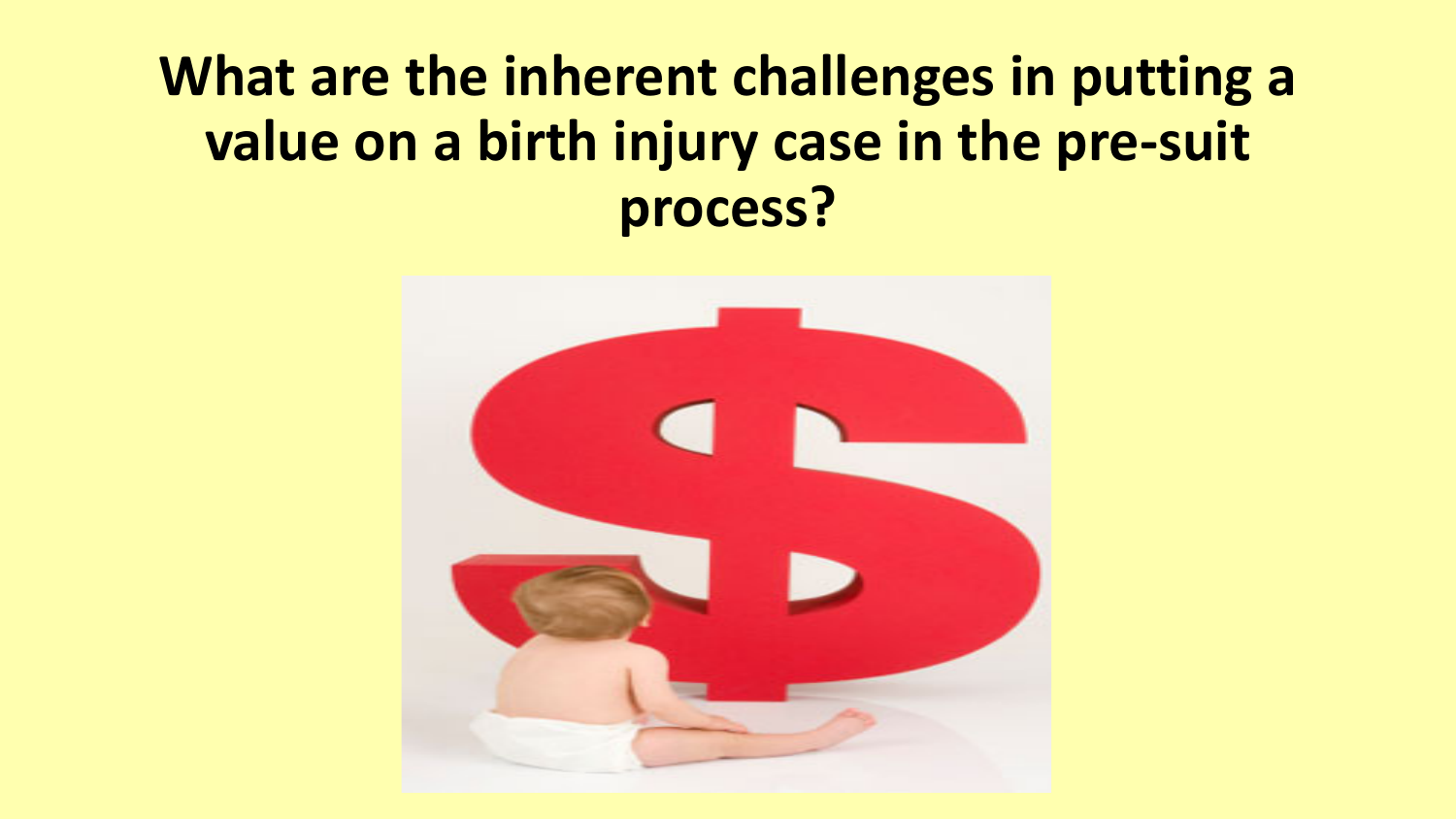## **What are the inherent challenges in putting a value on a birth injury case in the pre-suit process?**

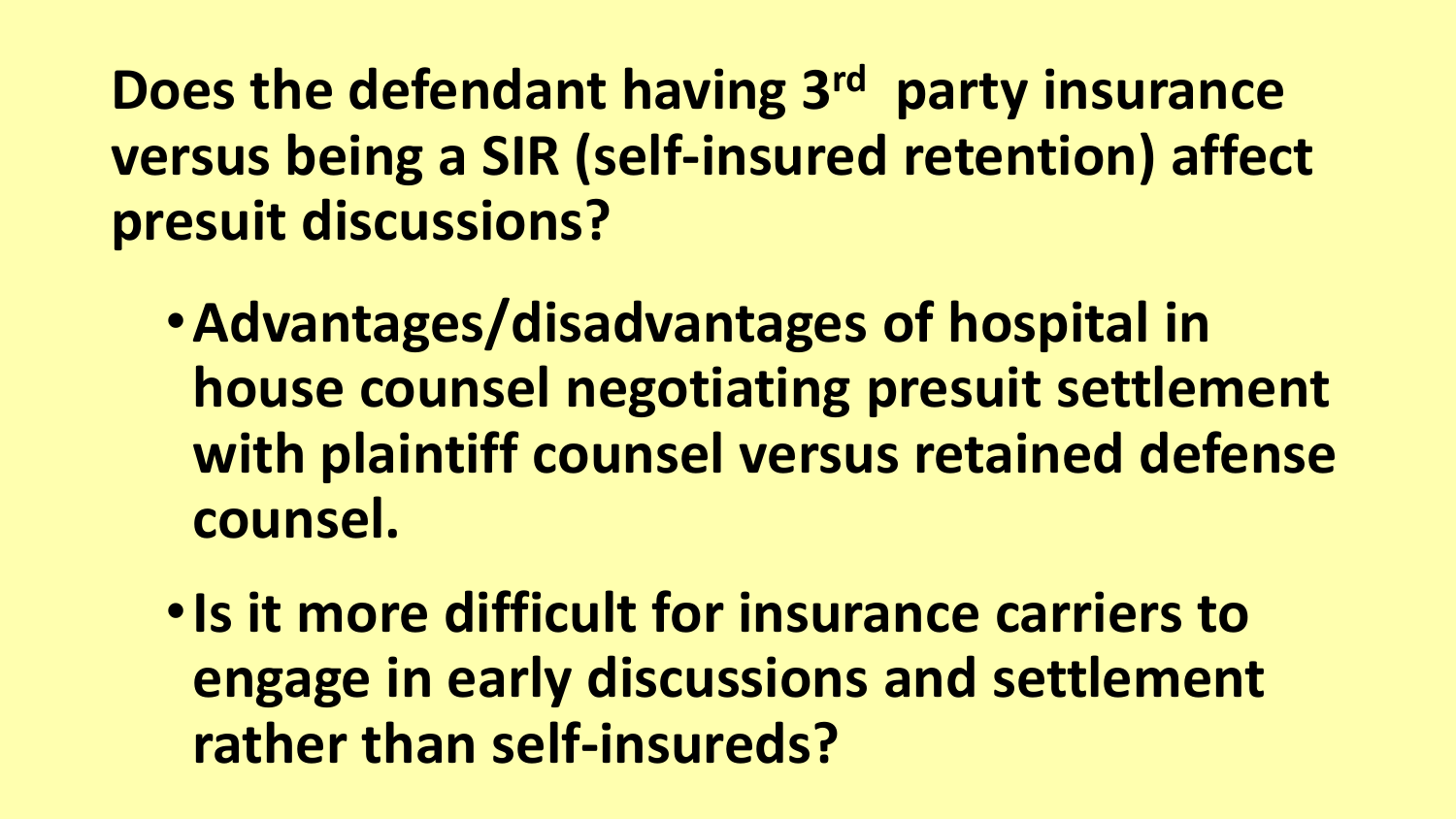**Does the defendant having 3rd party insurance versus being a SIR (self-insured retention) affect presuit discussions?** 

- •**Advantages/disadvantages of hospital in house counsel negotiating presuit settlement with plaintiff counsel versus retained defense counsel.**
- •**Is it more difficult for insurance carriers to engage in early discussions and settlement rather than self-insureds?**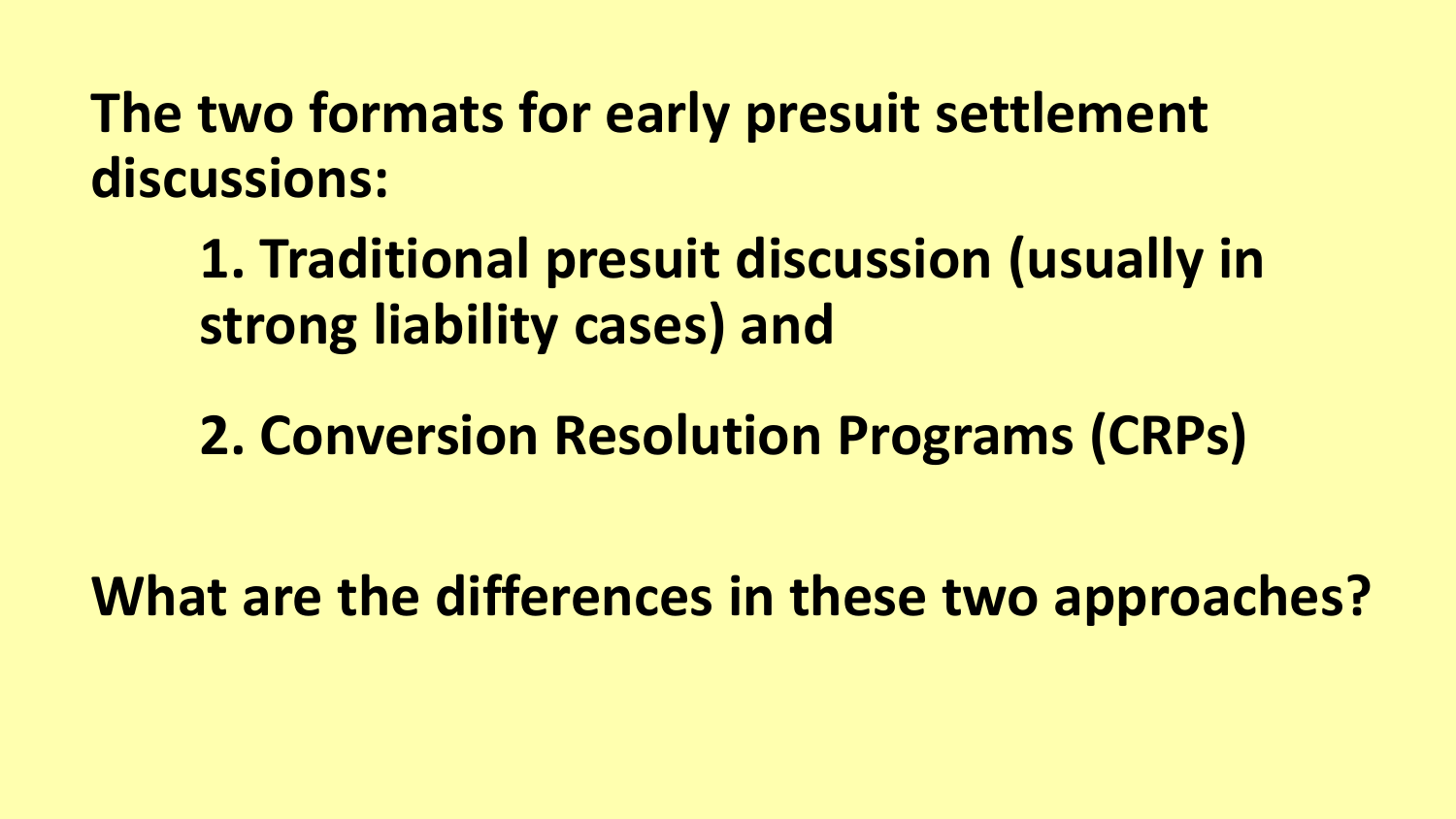**The two formats for early presuit settlement discussions:**

**1. Traditional presuit discussion (usually in strong liability cases) and** 

**2. Conversion Resolution Programs (CRPs)** 

**What are the differences in these two approaches?**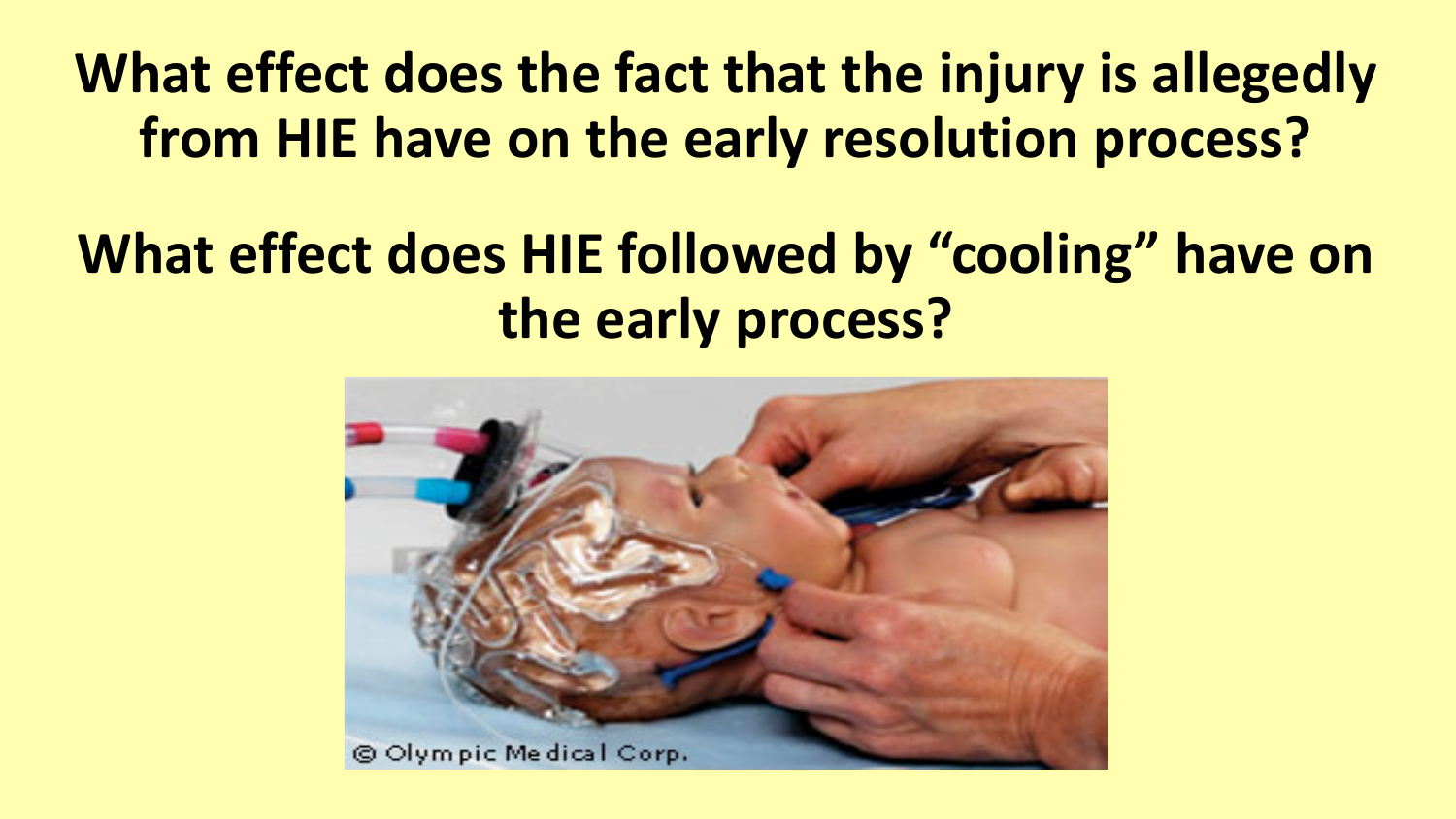# **What effect does the fact that the injury is allegedly from HIE have on the early resolution process?**

# **What effect does HIE followed by "cooling" have on the early process?**

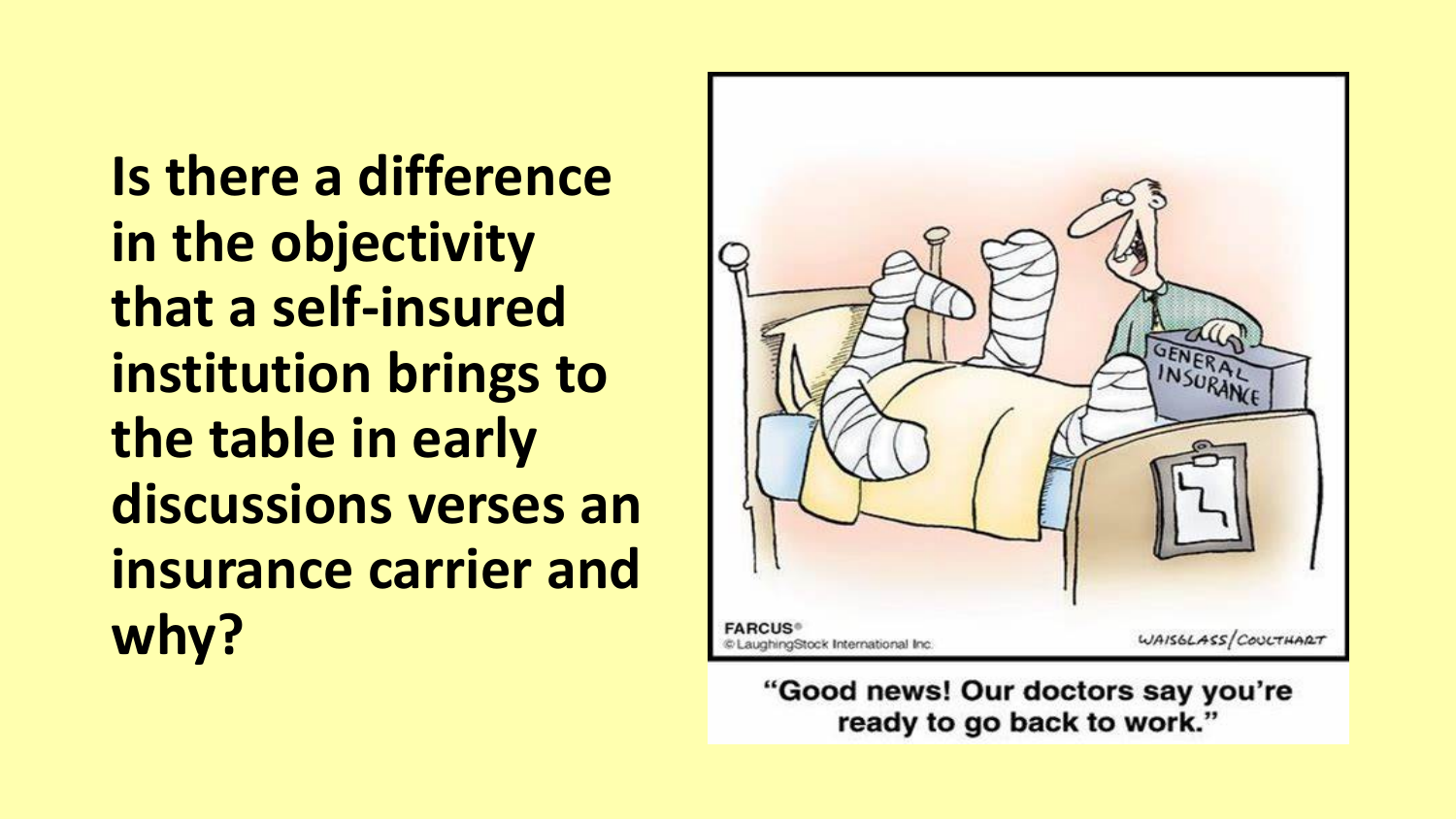**Is there a difference in the objectivity that a self-insured institution brings to the table in early discussions verses an insurance carrier and why?**



"Good news! Our doctors say you're ready to go back to work."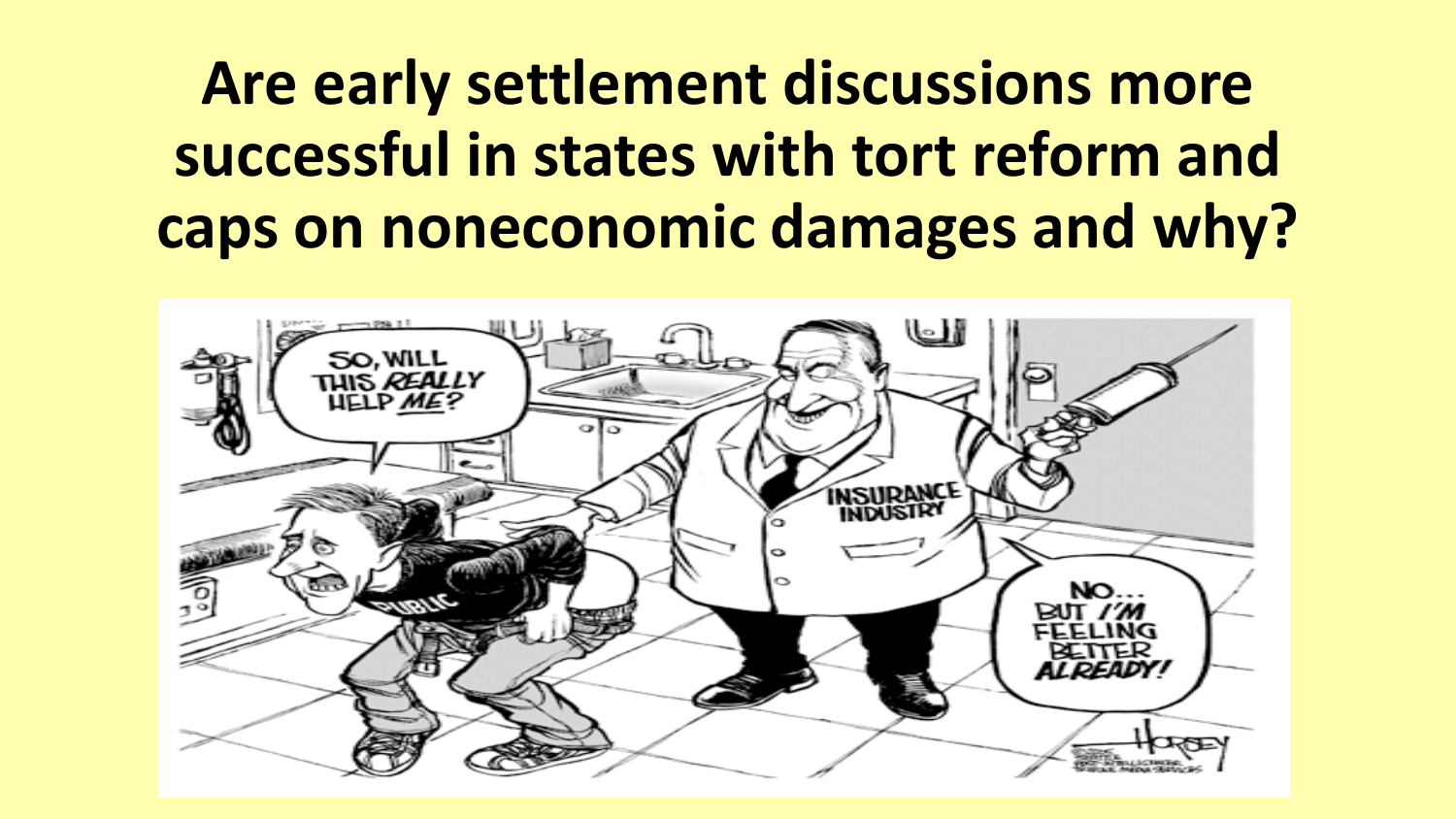# **Are early settlement discussions more successful in states with tort reform and caps on noneconomic damages and why?**

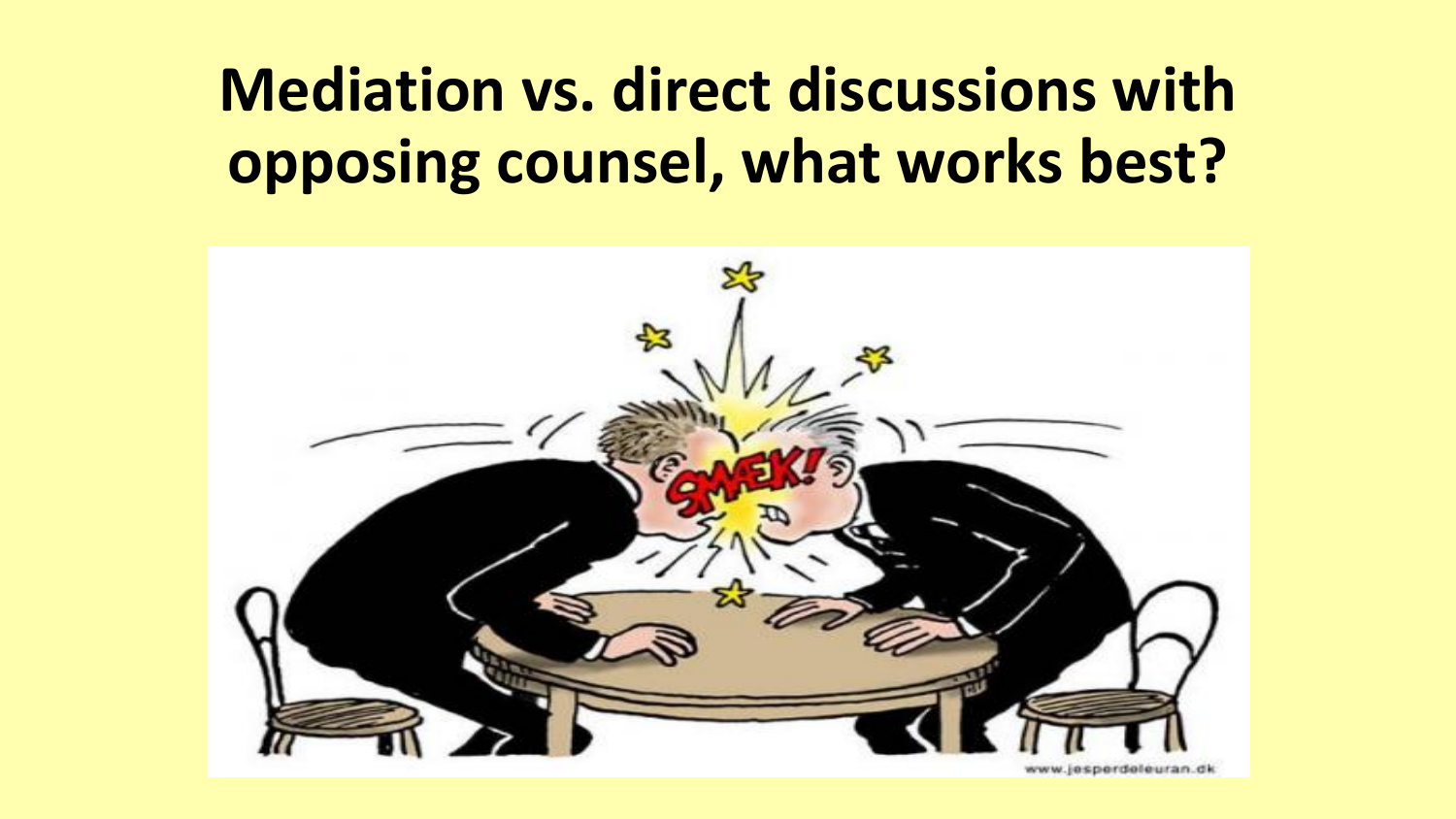# **Mediation vs. direct discussions with opposing counsel, what works best?**

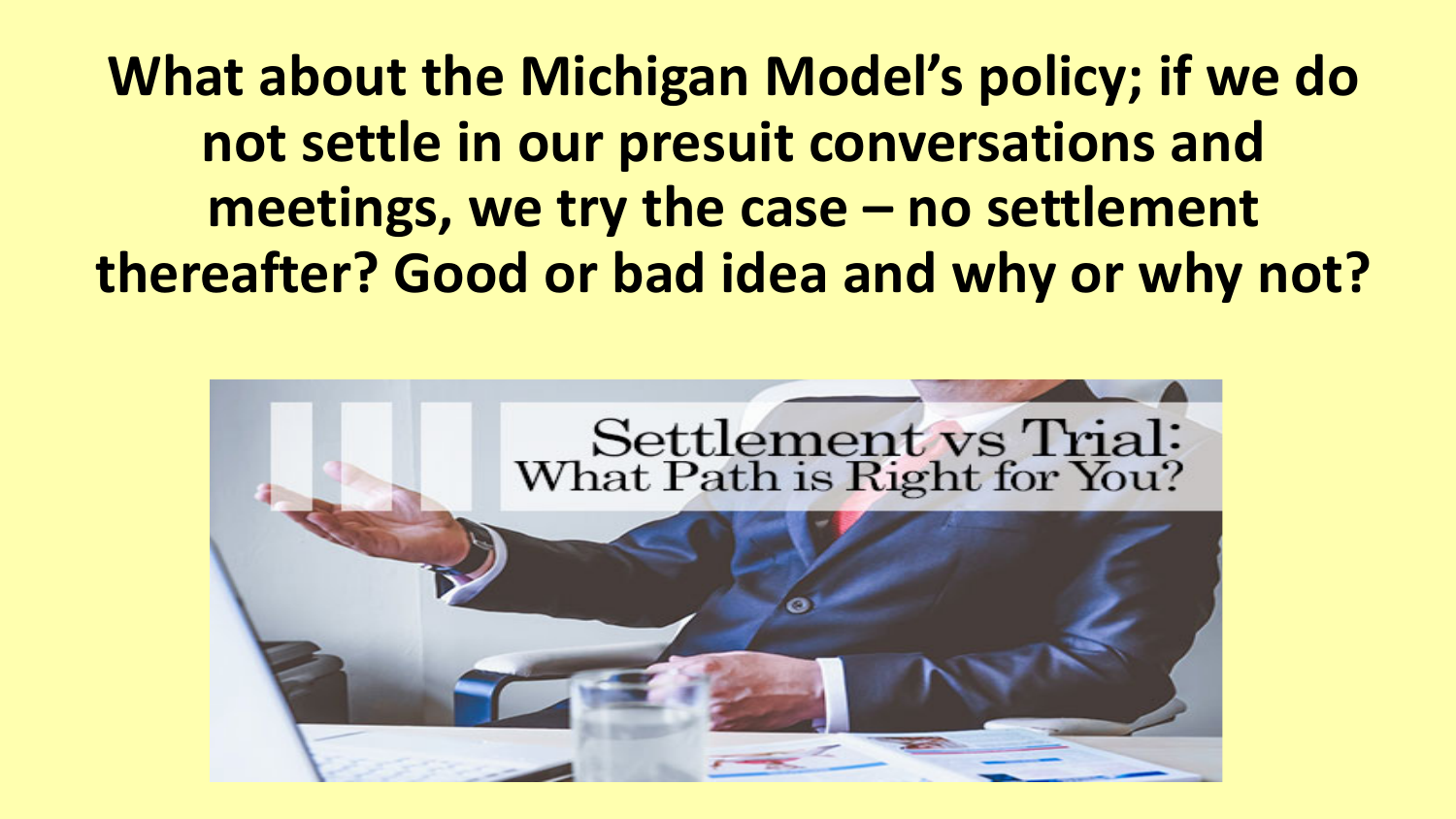**What about the Michigan Model's policy; if we do not settle in our presuit conversations and meetings, we try the case – no settlement thereafter? Good or bad idea and why or why not?**